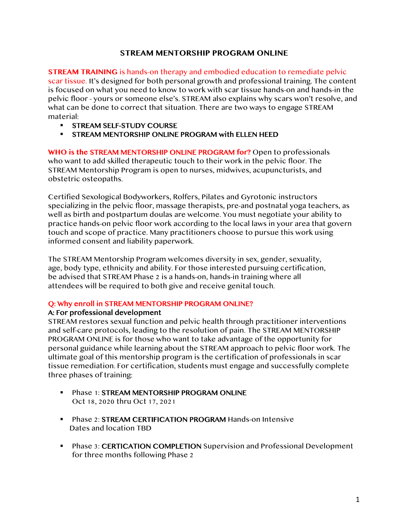# **STREAM MENTORSHIP PROGRAM ONLINE**

**STREAM TRAINING** is hands-on therapy and embodied education to remediate pelvic scar tissue. It's designed for both personal growth and professional training. The content is focused on what you need to know to work with scar tissue hands-on and hands-in the pelvic floor - yours or someone else's. STREAM also explains why scars won't resolve, and what can be done to correct that situation. There are two ways to engage STREAM material:

- § STREAM SELF-STUDY COURSE
- § STREAM MENTORSHIP ONLINE PROGRAM with ELLEN HEED

**WHO is the** STREAM MENTORSHIP ONLINE PROGRAM **for?** Open to professionals who want to add skilled therapeutic touch to their work in the pelvic floor. The STREAM Mentorship Program is open to nurses, midwives, acupuncturists, and obstetric osteopaths.

Certified Sexological Bodyworkers, Rolfers, Pilates and Gyrotonic instructors specializing in the pelvic floor, massage therapists, pre-and postnatal yoga teachers, as well as birth and postpartum doulas are welcome. You must negotiate your ability to practice hands-on pelvic floor work according to the local laws in your area that govern touch and scope of practice. Many practitioners choose to pursue this work using informed consent and liability paperwork.

The STREAM Mentorship Program welcomes diversity in sex, gender, sexuality, age, body type, ethnicity and ability. For those interested pursuing certification, be advised that STREAM Phase 2 is a hands-on, hands-in training where all attendees will be required to both give and receive genital touch.

#### Q: Why enroll in STREAM MENTORSHIP PROGRAM ONLINE?

#### A: For professional development

STREAM restores sexual function and pelvic health through practitioner interventions and self-care protocols, leading to the resolution of pain. The STREAM MENTORSHIP PROGRAM ONLINE is for those who want to take advantage of the opportunity for personal guidance while learning about the STREAM approach to pelvic floor work. The ultimate goal of this mentorship program is the certification of professionals in scar tissue remediation. For certification, students must engage and successfully complete three phases of training:

- **Phase 1: STREAM MENTORSHIP PROGRAM ONLINE** Oct 18, 2020 thru Oct 17, 2021
- Phase 2: STREAM CERTIFICATION PROGRAM Hands-on Intensive Dates and location TBD
- Phase 3: CERTICATION COMPLETION Supervision and Professional Development for three months following Phase 2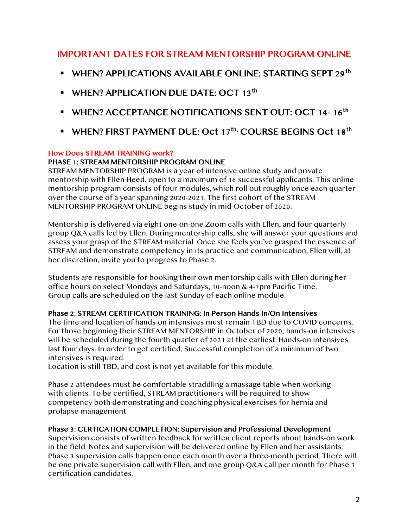# IMPORTANT DATES FOR STREAM MENTORSHIP PROGRAM ONLINE

- § WHEN? APPLICATIONS AVAILABLE ONLINE: STARTING SEPT 29th
- **E** WHEN? APPLICATION DUE DATE: OCT 13<sup>th</sup>
- § WHEN? ACCEPTANCE NOTIFICATIONS SENT OUT: OCT 14- 16th
- WHEN? FIRST PAYMENT DUE: Oct 17<sup>th,</sup> COURSE BEGINS Oct 18<sup>th</sup>

#### How Does STREAM TRAINING work?

# PHASE 1: STREAM MENTORSHIP PROGRAM ONLINE

STREAM MENTORSHIP PROGRAM is a year of intensive online study and private mentorship with Ellen Heed, open to a maximum of 16 successful applicants. This online mentorship program consists of four modules, which roll out roughly once each quarter over the course of a year spanning 2020-2021. The first cohort of the STREAM MENTORSHIP PROGRAM ONLINE begins study in mid-October of 2020.

Mentorship is delivered via eight one-on-one Zoom calls with Ellen, and four quarterly group Q&A calls led by Ellen. During mentorship calls, she will answer your questions and assess your grasp of the STREAM material. Once she feels you've grasped the essence of STREAM and demonstrate competency in its practice and communication, Ellen will, at her discretion, invite you to progress to Phase 2.

Students are responsible for booking their own mentorship calls with Ellen during her office hours on select Mondays and Saturdays, 10-noon & 4-7pm Pacific Time. Group calls are scheduled on the last Sunday of each online module.

# Phase 2: STREAM CERTIFICATION TRAINING: In-Person Hands-In/On Intensives

The time and location of hands-on intensives must remain TBD due to COVID concerns. For those beginning their STREAM MENTORSHIP in October of 2020, hands-on intensives will be scheduled during the fourth quarter of 2021 at the earliest. Hands-on intensives last four days. In order to get certified, Successful completion of a minimum of two intensives is required.

Location is still TBD, and cost is not yet available for this module.

Phase 2 attendees must be comfortable straddling a massage table when working with clients. To be certified, STREAM practitioners will be required to show competency both demonstrating and coaching physical exercises for hernia and prolapse management.

# Phase 3: CERTICATION COMPLETION: Supervision and Professional Development

Supervision consists of written feedback for written client reports about hands-on work in the field. Notes and supervision will be delivered online by Ellen and her assistants. Phase 3 supervision calls happen once each month over a three-month period. There will be one private supervision call with Ellen, and one group Q&A call per month for Phase 3 certification candidates.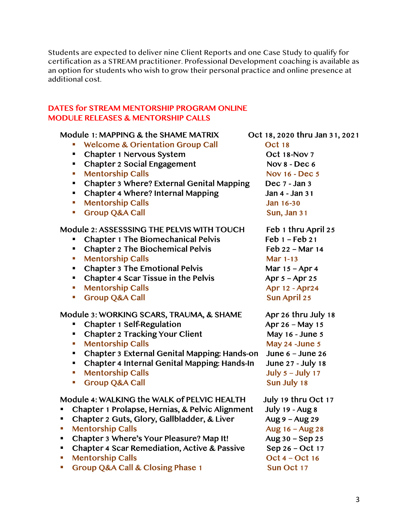Students are expected to deliver nine Client Reports and one Case Study to qualify for certification as a STREAM practitioner. Professional Development coaching is available as an option for students who wish to grow their personal practice and online presence at additional cost.

# DATES for STREAM MENTORSHIP PROGRAM ONLINE MODULE RELEASES & MENTORSHIP CALLS

# Module 1: MAPPING & the SHAME MATRIX Oct 18, 2020 thru Jan 31, 2021

- Welcome & Orientation Group Call Oct 18
- Chapter 1 Nervous System Oct 18-Nov 7
- Chapter 2 Social Engagement Nov 8 Dec 6
- Mentorship Calls Nov 16 Dec 5
- Chapter 3 Where? External Genital Mapping Dec 7 Jan 3
- Chapter 4 Where? Internal Mapping Jan 4 Jan 31
- Mentorship Calls Jan 16-30
- Group Q&A Call Sun, Jan 31

# Module 2: ASSESSSING THE PELVIS WITH TOUCH Feb 1 thru April 25

- Chapter 1 The Biomechanical Pelvis Feb 1 Feb 21
- Chapter 2 The Biochemical Pelvis Feb 22 Mar 14
- Mentorship Calls Mar 1-13
- Chapter 3 The Emotional Pelvis Mar  $15 -$ Apr 4
- Chapter 4 Scar Tissue in the Pelvis  $APr 5 Apr 25$
- Mentorship Calls Apr 12 Apr 12 Apr 12 Apr 12 Apr 12 Apr 12 Apr 12 Apr 12 Apr 12 Apr 24
- Group O&A Call Sun April 25

# Module 3: WORKING SCARS, TRAUMA, & SHAME Apr 26 thru July 18

- Chapter 1 Self-Regulation Apr 26 May 15
- Chapter 2 Tracking Your Client May 16 June 5
- Mentorship Calls May 24 -June 5
- § Chapter 3 External Genital Mapping: Hands-on June 6 June 26
- § Chapter 4 Internal Genital Mapping: Hands-In June 27 July 18
- Mentorship Calls July 5 July 17
- Group O&A Call Sun July 18

# Module 4: WALKING the WALK of PELVIC HEALTH July 19 thru Oct 17

- § Chapter 1 Prolapse, Hernias, & Pelvic Alignment July 19 Aug 8
- Chapter 2 Guts, Glory, Gallbladder, & Liver Aug 9 Aug 29
- Mentorship Calls Aug 16 Aug 28
- Chapter 3 Where's Your Pleasure? Map It! Aug 30 Sep 25
- Chapter 4 Scar Remediation, Active & Passive Sep 26 Oct 17
- § Mentorship Calls Oct 4 Oct 16
- Group Q&A Call & Closing Phase 1 Sun Oct 17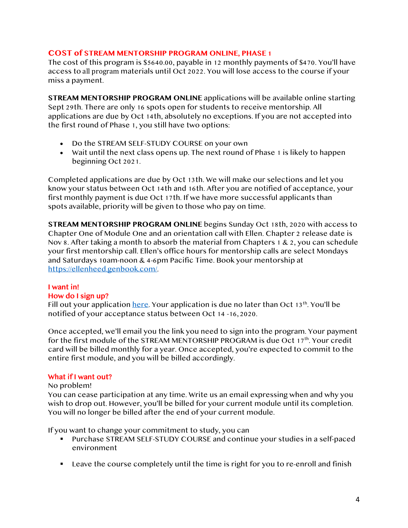#### **COST of STREAM MENTORSHIP PROGRAM ONLINE, PHASE 1**

The cost of this program is \$5640.00, payable in 12 monthly payments of \$470. You'll have access to all program materials until Oct 2022. You will lose access to the course if your miss a payment.

**STREAM MENTORSHIP PROGRAM ONLINE** applications will be available online starting Sept 29th. There are only 16 spots open for students to receive mentorship. All applications are due by Oct 14th, absolutely no exceptions. If you are not accepted into the first round of Phase 1, you still have two options:

- Do the STREAM SELF-STUDY COURSE on your own
- Wait until the next class opens up. The next round of Phase 1 is likely to happen beginning Oct 2021.

Completed applications are due by Oct 13th. We will make our selections and let you know your status between Oct 14th and 16th. After you are notified of acceptance, your first monthly payment is due Oct 17th. If we have more successful applicants than spots available, priority will be given to those who pay on time.

**STREAM MENTORSHIP PROGRAM ONLINE** begins Sunday Oct 18th, 2020 with access to Chapter One of Module One and an orientation call with Ellen. Chapter 2 release date is Nov 8. After taking a month to absorb the material from Chapters 1 & 2, you can schedule your first mentorship call. Ellen's office hours for mentorship calls are select Mondays and Saturdays 10am-noon & 4-6pm Pacific Time. Book your mentorship at https://ellenheed.genbook.com/.

# I want in!

#### How do I sign up?

Fill out your application here. Your application is due no later than Oct  $13<sup>th</sup>$ . You'll be notified of your acceptance status between Oct 14 -16, 2020.

Once accepted, we'll email you the link you need to sign into the program. Your payment for the first module of the STREAM MENTORSHIP PROGRAM is due Oct 17<sup>th</sup>. Your credit card will be billed monthly for a year. Once accepted, you're expected to commit to the entire first module, and you will be billed accordingly.

# What if I want out?

#### No problem!

You can cease participation at any time. Write us an email expressing when and why you wish to drop out. However, you'll be billed for your current module until its completion. You will no longer be billed after the end of your current module.

If you want to change your commitment to study, you can

- § Purchase STREAM SELF-STUDY COURSE and continue your studies in a self-paced environment
- § Leave the course completely until the time is right for you to re-enroll and finish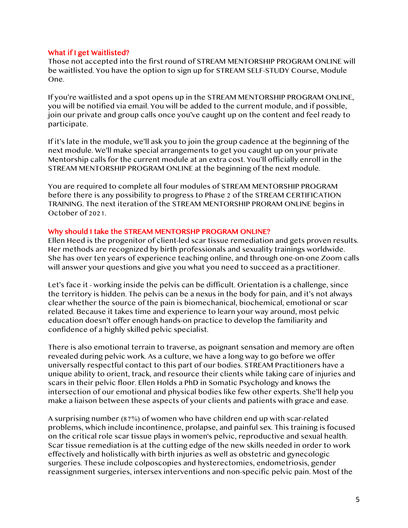#### What if I get Waitlisted?

Those not accepted into the first round of STREAM MENTORSHIP PROGRAM ONLINE will be waitlisted. You have the option to sign up for STREAM SELF-STUDY Course, Module One.

If you're waitlisted and a spot opens up in the STREAM MENTORSHIP PROGRAM ONLINE, you will be notified via email. You will be added to the current module, and if possible, join our private and group calls once you've caught up on the content and feel ready to participate.

If it's late in the module, we'll ask you to join the group cadence at the beginning of the next module. We'll make special arrangements to get you caught up on your private Mentorship calls for the current module at an extra cost. You'll officially enroll in the STREAM MENTORSHIP PROGRAM ONLINE at the beginning of the next module.

You are required to complete all four modules of STREAM MENTORSHIP PROGRAM before there is any possibility to progress to Phase 2 of the STREAM CERTIFICATION TRAINING. The next iteration of the STREAM MENTORSHIP PRORAM ONLINE begins in October of 2021.

#### Why should I take the STREAM MENTORSHP PROGRAM ONLINE?

Ellen Heed is the progenitor of client-led scar tissue remediation and gets proven results. Her methods are recognized by birth professionals and sexuality trainings worldwide. She has over ten years of experience teaching online, and through one-on-one Zoom calls will answer your questions and give you what you need to succeed as a practitioner.

Let's face it - working inside the pelvis can be difficult. Orientation is a challenge, since the territory is hidden. The pelvis can be a nexus in the body for pain, and it's not always clear whether the source of the pain is biomechanical, biochemical, emotional or scar related. Because it takes time and experience to learn your way around, most pelvic education doesn't offer enough hands-on practice to develop the familiarity and confidence of a highly skilled pelvic specialist.

There is also emotional terrain to traverse, as poignant sensation and memory are often revealed during pelvic work. As a culture, we have a long way to go before we offer universally respectful contact to this part of our bodies. STREAM Practitioners have a unique ability to orient, track, and resource their clients while taking care of injuries and scars in their pelvic floor. Ellen Holds a PhD in Somatic Psychology and knows the intersection of our emotional and physical bodies like few other experts. She'll help you make a liaison between these aspects of your clients and patients with grace and ease.

A surprising number (87%) of women who have children end up with scar-related problems, which include incontinence, prolapse, and painful sex. This training is focused on the critical role scar tissue plays in women's pelvic, reproductive and sexual health. Scar tissue remediation is at the cutting edge of the new skills needed in order to work effectively and holistically with birth injuries as well as obstetric and gynecologic surgeries. These include colposcopies and hysterectomies, endometriosis, gender reassignment surgeries, intersex interventions and non-specific pelvic pain. Most of the